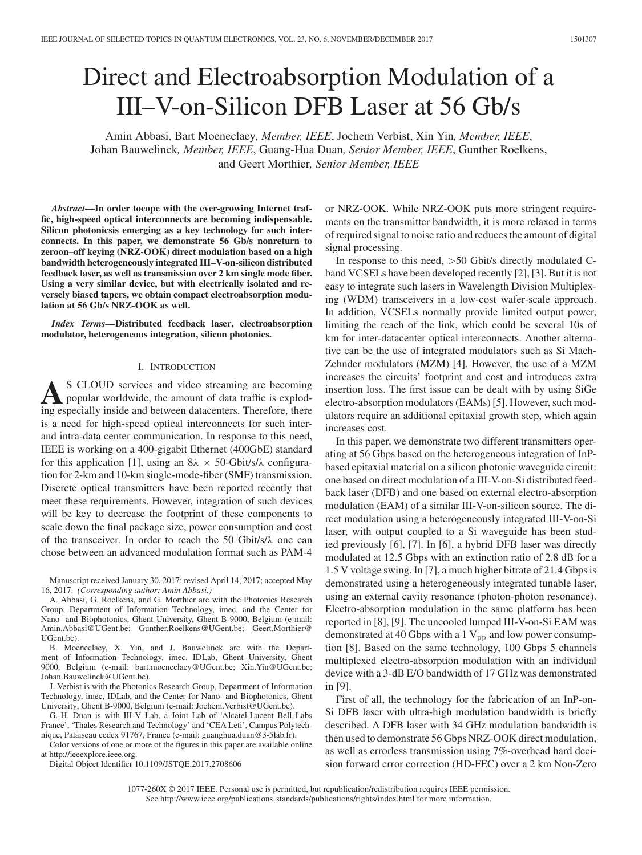# Direct and Electroabsorption Modulation of a III–V-on-Silicon DFB Laser at 56 Gb/s

Amin Abbasi, Bart Moeneclaey*, Member, IEEE*, Jochem Verbist, Xin Yin*, Member, IEEE*, Johan Bauwelinck*, Member, IEEE*, Guang-Hua Duan*, Senior Member, IEEE*, Gunther Roelkens, and Geert Morthier*, Senior Member, IEEE*

*Abstract***—In order tocope with the ever-growing Internet traffic, high-speed optical interconnects are becoming indispensable. Silicon photonicsis emerging as a key technology for such interconnects. In this paper, we demonstrate 56 Gb/s nonreturn to zeroon–off keying (NRZ-OOK) direct modulation based on a high bandwidth heterogeneously integrated III–V-on-silicon distributed feedback laser, as well as transmission over 2 km single mode fiber. Using a very similar device, but with electrically isolated and reversely biased tapers, we obtain compact electroabsorption modulation at 56 Gb/s NRZ-OOK as well.**

*Index Terms***—Distributed feedback laser, electroabsorption modulator, heterogeneous integration, silicon photonics.**

## I. INTRODUCTION

**A**S CLOUD services and video streaming are becoming popular worldwide, the amount of data traffic is exploding especially inside and between datacenters. Therefore, there is a need for high-speed optical interconnects for such interand intra-data center communication. In response to this need, IEEE is working on a 400-gigabit Ethernet (400GbE) standard for this application [1], using an  $8\lambda \times 50$ -Gbit/s/ $\lambda$  configuration for 2-km and 10-km single-mode-fiber (SMF) transmission. Discrete optical transmitters have been reported recently that meet these requirements. However, integration of such devices will be key to decrease the footprint of these components to scale down the final package size, power consumption and cost of the transceiver. In order to reach the 50 Gbit/s/λ one can chose between an advanced modulation format such as PAM-4

Manuscript received January 30, 2017; revised April 14, 2017; accepted May 16, 2017. *(Corresponding author: Amin Abbasi.)*

A. Abbasi, G. Roelkens, and G. Morthier are with the Photonics Research Group, Department of Information Technology, imec, and the Center for Nano- and Biophotonics, Ghent University, Ghent B-9000, Belgium (e-mail: Amin.Abbasi@UGent.be; Gunther.Roelkens@UGent.be; Geert.Morthier@ UGent.be).

B. Moeneclaey, X. Yin, and J. Bauwelinck are with the Department of Information Technology, imec, IDLab, Ghent University, Ghent 9000, Belgium (e-mail: bart.moeneclaey@UGent.be; Xin.Yin@UGent.be; Johan.Bauwelinck@UGent.be).

J. Verbist is with the Photonics Research Group, Department of Information Technology, imec, IDLab, and the Center for Nano- and Biophotonics, Ghent University, Ghent B-9000, Belgium (e-mail: Jochem.Verbist@UGent.be).

G.-H. Duan is with III-V Lab, a Joint Lab of 'Alcatel-Lucent Bell Labs France', 'Thales Research and Technology' and 'CEA Leti', Campus Polytechnique, Palaiseau cedex 91767, France (e-mail: guanghua.duan@3-5lab.fr).

Color versions of one or more of the figures in this paper are available online at http://ieeexplore.ieee.org.

Digital Object Identifier 10.1109/JSTQE.2017.2708606

or NRZ-OOK. While NRZ-OOK puts more stringent requirements on the transmitter bandwidth, it is more relaxed in terms of required signal to noise ratio and reduces the amount of digital signal processing.

In response to this need, >50 Gbit/s directly modulated Cband VCSELs have been developed recently [2], [3]. But it is not easy to integrate such lasers in Wavelength Division Multiplexing (WDM) transceivers in a low-cost wafer-scale approach. In addition, VCSELs normally provide limited output power, limiting the reach of the link, which could be several 10s of km for inter-datacenter optical interconnects. Another alternative can be the use of integrated modulators such as Si Mach-Zehnder modulators (MZM) [4]. However, the use of a MZM increases the circuits' footprint and cost and introduces extra insertion loss. The first issue can be dealt with by using SiGe electro-absorption modulators (EAMs) [5]. However, such modulators require an additional epitaxial growth step, which again increases cost.

In this paper, we demonstrate two different transmitters operating at 56 Gbps based on the heterogeneous integration of InPbased epitaxial material on a silicon photonic waveguide circuit: one based on direct modulation of a III-V-on-Si distributed feedback laser (DFB) and one based on external electro-absorption modulation (EAM) of a similar III-V-on-silicon source. The direct modulation using a heterogeneously integrated III-V-on-Si laser, with output coupled to a Si waveguide has been studied previously [6], [7]. In [6], a hybrid DFB laser was directly modulated at 12.5 Gbps with an extinction ratio of 2.8 dB for a 1.5 V voltage swing. In [7], a much higher bitrate of 21.4 Gbps is demonstrated using a heterogeneously integrated tunable laser, using an external cavity resonance (photon-photon resonance). Electro-absorption modulation in the same platform has been reported in [8], [9]. The uncooled lumped III-V-on-Si EAM was demonstrated at 40 Gbps with a 1  $V_{pp}$  and low power consumption [8]. Based on the same technology, 100 Gbps 5 channels multiplexed electro-absorption modulation with an individual device with a 3-dB E/O bandwidth of 17 GHz was demonstrated in [9].

First of all, the technology for the fabrication of an InP-on-Si DFB laser with ultra-high modulation bandwidth is briefly described. A DFB laser with 34 GHz modulation bandwidth is then used to demonstrate 56 Gbps NRZ-OOK direct modulation, as well as errorless transmission using 7%-overhead hard decision forward error correction (HD-FEC) over a 2 km Non-Zero

1077-260X © 2017 IEEE. Personal use is permitted, but republication/redistribution requires IEEE permission. See http://www.ieee.org/publications.standards/publications/rights/index.html for more information.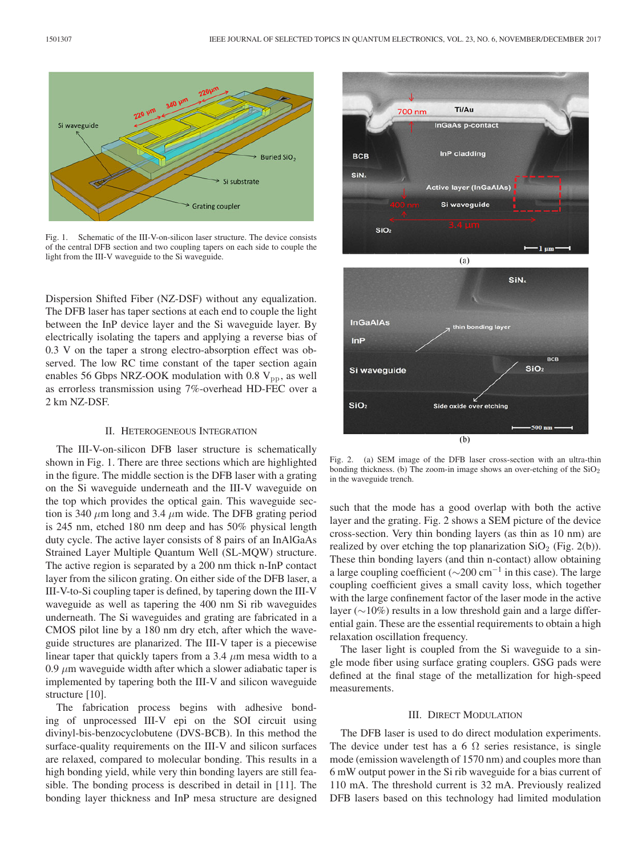

Fig. 1. Schematic of the III-V-on-silicon laser structure. The device consists of the central DFB section and two coupling tapers on each side to couple the light from the III-V waveguide to the Si waveguide.

Dispersion Shifted Fiber (NZ-DSF) without any equalization. The DFB laser has taper sections at each end to couple the light between the InP device layer and the Si waveguide layer. By electrically isolating the tapers and applying a reverse bias of 0.3 V on the taper a strong electro-absorption effect was observed. The low RC time constant of the taper section again enables 56 Gbps NRZ-OOK modulation with 0.8  $V_{\text{pp}}$ , as well as errorless transmission using 7%-overhead HD-FEC over a 2 km NZ-DSF.

#### II. HETEROGENEOUS INTEGRATION

The III-V-on-silicon DFB laser structure is schematically shown in Fig. 1. There are three sections which are highlighted in the figure. The middle section is the DFB laser with a grating on the Si waveguide underneath and the III-V waveguide on the top which provides the optical gain. This waveguide section is 340  $\mu$ m long and 3.4  $\mu$ m wide. The DFB grating period is 245 nm, etched 180 nm deep and has 50% physical length duty cycle. The active layer consists of 8 pairs of an InAlGaAs Strained Layer Multiple Quantum Well (SL-MQW) structure. The active region is separated by a 200 nm thick n-InP contact layer from the silicon grating. On either side of the DFB laser, a III-V-to-Si coupling taper is defined, by tapering down the III-V waveguide as well as tapering the 400 nm Si rib waveguides underneath. The Si waveguides and grating are fabricated in a CMOS pilot line by a 180 nm dry etch, after which the waveguide structures are planarized. The III-V taper is a piecewise linear taper that quickly tapers from a 3.4  $\mu$ m mesa width to a 0.9  $\mu$ m waveguide width after which a slower adiabatic taper is implemented by tapering both the III-V and silicon waveguide structure [10].

The fabrication process begins with adhesive bonding of unprocessed III-V epi on the SOI circuit using divinyl-bis-benzocyclobutene (DVS-BCB). In this method the surface-quality requirements on the III-V and silicon surfaces are relaxed, compared to molecular bonding. This results in a high bonding yield, while very thin bonding layers are still feasible. The bonding process is described in detail in [11]. The bonding layer thickness and InP mesa structure are designed



Fig. 2. (a) SEM image of the DFB laser cross-section with an ultra-thin bonding thickness. (b) The zoom-in image shows an over-etching of the  $SiO<sub>2</sub>$ in the waveguide trench.

such that the mode has a good overlap with both the active layer and the grating. Fig. 2 shows a SEM picture of the device cross-section. Very thin bonding layers (as thin as 10 nm) are realized by over etching the top planarization  $SiO<sub>2</sub>$  (Fig. 2(b)). These thin bonding layers (and thin n-contact) allow obtaining a large coupling coefficient ( $\sim$ 200 cm<sup>-1</sup> in this case). The large coupling coefficient gives a small cavity loss, which together with the large confinement factor of the laser mode in the active layer (∼10%) results in a low threshold gain and a large differential gain. These are the essential requirements to obtain a high relaxation oscillation frequency.

The laser light is coupled from the Si waveguide to a single mode fiber using surface grating couplers. GSG pads were defined at the final stage of the metallization for high-speed measurements.

### III. DIRECT MODULATION

The DFB laser is used to do direct modulation experiments. The device under test has a 6  $\Omega$  series resistance, is single mode (emission wavelength of 1570 nm) and couples more than 6 mW output power in the Si rib waveguide for a bias current of 110 mA. The threshold current is 32 mA. Previously realized DFB lasers based on this technology had limited modulation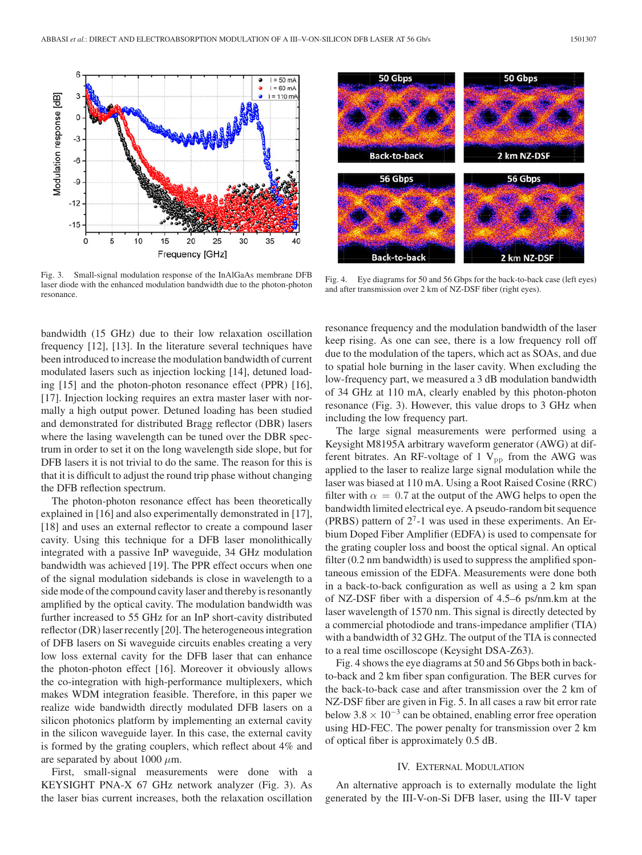

Fig. 3. Small-signal modulation response of the InAlGaAs membrane DFB laser diode with the enhanced modulation bandwidth due to the photon-photon resonance.

bandwidth (15 GHz) due to their low relaxation oscillation frequency [12], [13]. In the literature several techniques have been introduced to increase the modulation bandwidth of current modulated lasers such as injection locking [14], detuned loading [15] and the photon-photon resonance effect (PPR) [16], [17]. Injection locking requires an extra master laser with normally a high output power. Detuned loading has been studied and demonstrated for distributed Bragg reflector (DBR) lasers where the lasing wavelength can be tuned over the DBR spectrum in order to set it on the long wavelength side slope, but for DFB lasers it is not trivial to do the same. The reason for this is that it is difficult to adjust the round trip phase without changing the DFB reflection spectrum.

The photon-photon resonance effect has been theoretically explained in [16] and also experimentally demonstrated in [17], [18] and uses an external reflector to create a compound laser cavity. Using this technique for a DFB laser monolithically integrated with a passive InP waveguide, 34 GHz modulation bandwidth was achieved [19]. The PPR effect occurs when one of the signal modulation sidebands is close in wavelength to a side mode of the compound cavity laser and thereby is resonantly amplified by the optical cavity. The modulation bandwidth was further increased to 55 GHz for an InP short-cavity distributed reflector (DR) laser recently [20]. The heterogeneous integration of DFB lasers on Si waveguide circuits enables creating a very low loss external cavity for the DFB laser that can enhance the photon-photon effect [16]. Moreover it obviously allows the co-integration with high-performance multiplexers, which makes WDM integration feasible. Therefore, in this paper we realize wide bandwidth directly modulated DFB lasers on a silicon photonics platform by implementing an external cavity in the silicon waveguide layer. In this case, the external cavity is formed by the grating couplers, which reflect about 4% and are separated by about 1000  $\mu$ m.

First, small-signal measurements were done with a KEYSIGHT PNA-X 67 GHz network analyzer (Fig. 3). As the laser bias current increases, both the relaxation oscillation



Fig. 4. Eye diagrams for 50 and 56 Gbps for the back-to-back case (left eyes) and after transmission over 2 km of NZ-DSF fiber (right eyes).

resonance frequency and the modulation bandwidth of the laser keep rising. As one can see, there is a low frequency roll off due to the modulation of the tapers, which act as SOAs, and due to spatial hole burning in the laser cavity. When excluding the low-frequency part, we measured a 3 dB modulation bandwidth of 34 GHz at 110 mA, clearly enabled by this photon-photon resonance (Fig. 3). However, this value drops to 3 GHz when including the low frequency part.

The large signal measurements were performed using a Keysight M8195A arbitrary waveform generator (AWG) at different bitrates. An RF-voltage of 1  $V_{pp}$  from the AWG was applied to the laser to realize large signal modulation while the laser was biased at 110 mA. Using a Root Raised Cosine (RRC) filter with  $\alpha = 0.7$  at the output of the AWG helps to open the bandwidth limited electrical eye. A pseudo-random bit sequence (PRBS) pattern of  $2<sup>7</sup>$ -1 was used in these experiments. An Erbium Doped Fiber Amplifier (EDFA) is used to compensate for the grating coupler loss and boost the optical signal. An optical filter (0.2 nm bandwidth) is used to suppress the amplified spontaneous emission of the EDFA. Measurements were done both in a back-to-back configuration as well as using a 2 km span of NZ-DSF fiber with a dispersion of 4.5–6 ps/nm.km at the laser wavelength of 1570 nm. This signal is directly detected by a commercial photodiode and trans-impedance amplifier (TIA) with a bandwidth of 32 GHz. The output of the TIA is connected to a real time oscilloscope (Keysight DSA-Z63).

Fig. 4 shows the eye diagrams at 50 and 56 Gbps both in backto-back and 2 km fiber span configuration. The BER curves for the back-to-back case and after transmission over the 2 km of NZ-DSF fiber are given in Fig. 5. In all cases a raw bit error rate below 3.8  $\times$  10<sup>-3</sup> can be obtained, enabling error free operation using HD-FEC. The power penalty for transmission over 2 km of optical fiber is approximately 0.5 dB.

# IV. EXTERNAL MODULATION

An alternative approach is to externally modulate the light generated by the III-V-on-Si DFB laser, using the III-V taper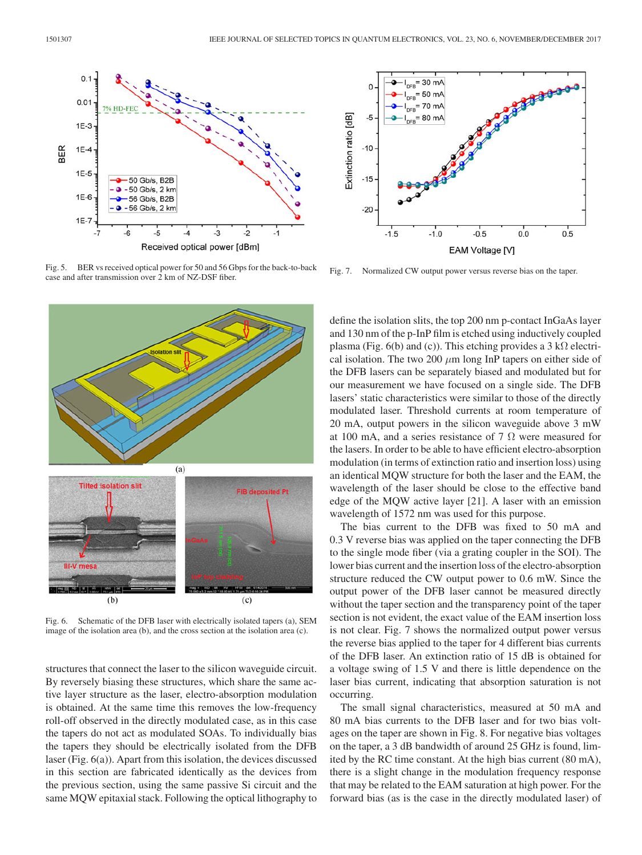

Fig. 5. BER vs received optical power for 50 and 56 Gbps for the back-to-back case and after transmission over 2 km of NZ-DSF fiber.



Fig. 6. Schematic of the DFB laser with electrically isolated tapers (a), SEM image of the isolation area (b), and the cross section at the isolation area (c).

structures that connect the laser to the silicon waveguide circuit. By reversely biasing these structures, which share the same active layer structure as the laser, electro-absorption modulation is obtained. At the same time this removes the low-frequency roll-off observed in the directly modulated case, as in this case the tapers do not act as modulated SOAs. To individually bias the tapers they should be electrically isolated from the DFB laser (Fig. 6(a)). Apart from this isolation, the devices discussed in this section are fabricated identically as the devices from the previous section, using the same passive Si circuit and the same MQW epitaxial stack. Following the optical lithography to



Fig. 7. Normalized CW output power versus reverse bias on the taper.

define the isolation slits, the top 200 nm p-contact InGaAs layer and 130 nm of the p-InP film is etched using inductively coupled plasma (Fig. 6(b) and (c)). This etching provides a 3 k $\Omega$  electrical isolation. The two 200  $\mu$ m long InP tapers on either side of the DFB lasers can be separately biased and modulated but for our measurement we have focused on a single side. The DFB lasers' static characteristics were similar to those of the directly modulated laser. Threshold currents at room temperature of 20 mA, output powers in the silicon waveguide above 3 mW at 100 mA, and a series resistance of 7  $\Omega$  were measured for the lasers. In order to be able to have efficient electro-absorption modulation (in terms of extinction ratio and insertion loss) using an identical MQW structure for both the laser and the EAM, the wavelength of the laser should be close to the effective band edge of the MQW active layer [21]. A laser with an emission wavelength of 1572 nm was used for this purpose.

The bias current to the DFB was fixed to 50 mA and 0.3 V reverse bias was applied on the taper connecting the DFB to the single mode fiber (via a grating coupler in the SOI). The lower bias current and the insertion loss of the electro-absorption structure reduced the CW output power to 0.6 mW. Since the output power of the DFB laser cannot be measured directly without the taper section and the transparency point of the taper section is not evident, the exact value of the EAM insertion loss is not clear. Fig. 7 shows the normalized output power versus the reverse bias applied to the taper for 4 different bias currents of the DFB laser. An extinction ratio of 15 dB is obtained for a voltage swing of 1.5 V and there is little dependence on the laser bias current, indicating that absorption saturation is not occurring.

The small signal characteristics, measured at 50 mA and 80 mA bias currents to the DFB laser and for two bias voltages on the taper are shown in Fig. 8. For negative bias voltages on the taper, a 3 dB bandwidth of around 25 GHz is found, limited by the RC time constant. At the high bias current (80 mA), there is a slight change in the modulation frequency response that may be related to the EAM saturation at high power. For the forward bias (as is the case in the directly modulated laser) of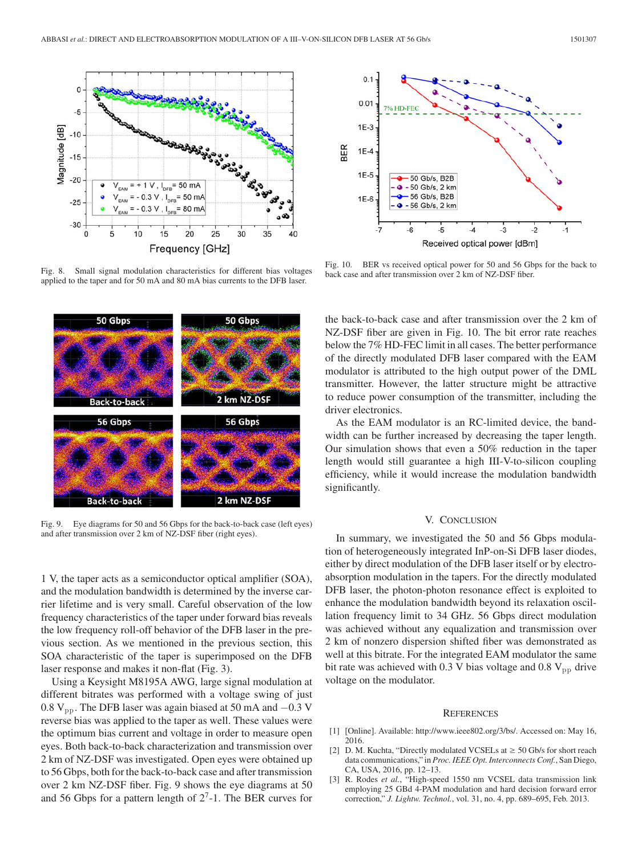

Fig. 8. Small signal modulation characteristics for different bias voltages applied to the taper and for 50 mA and 80 mA bias currents to the DFB laser.



Fig. 9. Eye diagrams for 50 and 56 Gbps for the back-to-back case (left eyes) and after transmission over 2 km of NZ-DSF fiber (right eyes).

1 V, the taper acts as a semiconductor optical amplifier (SOA), and the modulation bandwidth is determined by the inverse carrier lifetime and is very small. Careful observation of the low frequency characteristics of the taper under forward bias reveals the low frequency roll-off behavior of the DFB laser in the previous section. As we mentioned in the previous section, this SOA characteristic of the taper is superimposed on the DFB laser response and makes it non-flat (Fig. 3).

Using a Keysight M8195A AWG, large signal modulation at different bitrates was performed with a voltage swing of just 0.8  $V_{\text{pp}}$ . The DFB laser was again biased at 50 mA and  $-0.3$  V reverse bias was applied to the taper as well. These values were the optimum bias current and voltage in order to measure open eyes. Both back-to-back characterization and transmission over 2 km of NZ-DSF was investigated. Open eyes were obtained up to 56 Gbps, both for the back-to-back case and after transmission over 2 km NZ-DSF fiber. Fig. 9 shows the eye diagrams at 50 and 56 Gbps for a pattern length of  $2^7$ -1. The BER curves for



Fig. 10. BER vs received optical power for 50 and 56 Gbps for the back to back case and after transmission over 2 km of NZ-DSF fiber.

the back-to-back case and after transmission over the 2 km of NZ-DSF fiber are given in Fig. 10. The bit error rate reaches below the 7% HD-FEC limit in all cases. The better performance of the directly modulated DFB laser compared with the EAM modulator is attributed to the high output power of the DML transmitter. However, the latter structure might be attractive to reduce power consumption of the transmitter, including the driver electronics.

As the EAM modulator is an RC-limited device, the bandwidth can be further increased by decreasing the taper length. Our simulation shows that even a 50% reduction in the taper length would still guarantee a high III-V-to-silicon coupling efficiency, while it would increase the modulation bandwidth significantly.

#### V. CONCLUSION

In summary, we investigated the 50 and 56 Gbps modulation of heterogeneously integrated InP-on-Si DFB laser diodes, either by direct modulation of the DFB laser itself or by electroabsorption modulation in the tapers. For the directly modulated DFB laser, the photon-photon resonance effect is exploited to enhance the modulation bandwidth beyond its relaxation oscillation frequency limit to 34 GHz. 56 Gbps direct modulation was achieved without any equalization and transmission over 2 km of nonzero dispersion shifted fiber was demonstrated as well at this bitrate. For the integrated EAM modulator the same bit rate was achieved with 0.3 V bias voltage and 0.8  $V_{\text{pp}}$  drive voltage on the modulator.

#### **REFERENCES**

- [1] [Online]. Available: http://www.ieee802.org/3/bs/. Accessed on: May 16, 2016.
- [2] D. M. Kuchta, "Directly modulated VCSELs at  $\geq$  50 Gb/s for short reach data communications," in *Proc. IEEE Opt. Interconnects Conf.*, San Diego, CA, USA, 2016, pp. 12–13.
- [3] R. Rodes *et al.*, "High-speed 1550 nm VCSEL data transmission link employing 25 GBd 4-PAM modulation and hard decision forward error correction," *J. Lightw. Technol.*, vol. 31, no. 4, pp. 689–695, Feb. 2013.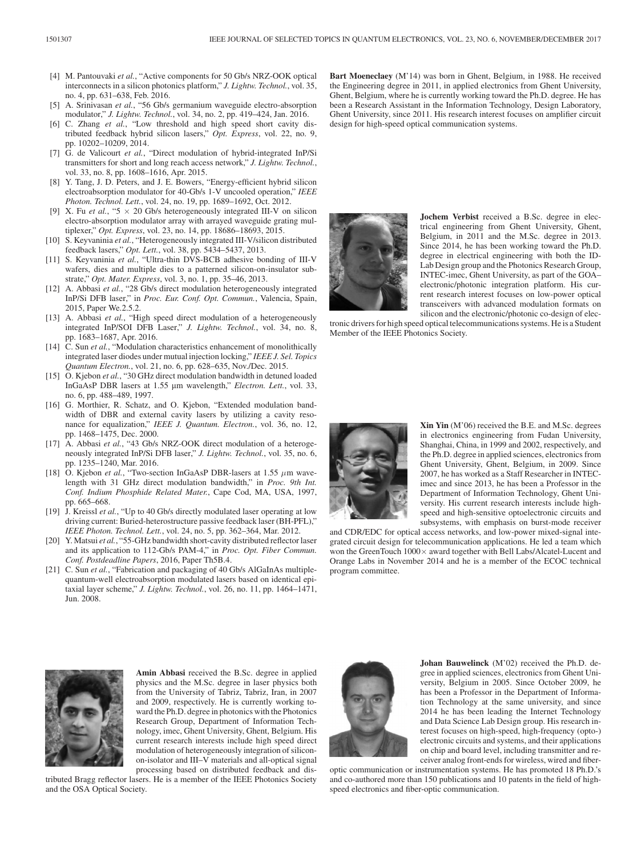- [4] M. Pantouvaki et al., "Active components for 50 Gb/s NRZ-OOK optical interconnects in a silicon photonics platform," *J. Lightw. Technol.*, vol. 35, no. 4, pp. 631–638, Feb. 2016.
- [5] A. Srinivasan *et al.*, "56 Gb/s germanium waveguide electro-absorption modulator," *J. Lightw. Technol.*, vol. 34, no. 2, pp. 419–424, Jan. 2016.
- [6] C. Zhang *et al.*, "Low threshold and high speed short cavity distributed feedback hybrid silicon lasers," *Opt. Express*, vol. 22, no. 9, pp. 10202–10209, 2014.
- [7] G. de Valicourt *et al.*, "Direct modulation of hybrid-integrated InP/Si transmitters for short and long reach access network," *J. Lightw. Technol.*, vol. 33, no. 8, pp. 1608–1616, Apr. 2015.
- [8] Y. Tang, J. D. Peters, and J. E. Bowers, "Energy-efficient hybrid silicon electroabsorption modulator for 40-Gb/s 1-V uncooled operation," *IEEE Photon. Technol. Lett.*, vol. 24, no. 19, pp. 1689–1692, Oct. 2012.
- [9] X. Fu *et al.*, " $5 \times 20$  Gb/s heterogeneously integrated III-V on silicon electro-absorption modulator array with arrayed waveguide grating multiplexer," *Opt. Express*, vol. 23, no. 14, pp. 18686–18693, 2015.
- [10] S. Keyvaninia *et al.*, "Heterogeneously integrated III-V/silicon distributed feedback lasers," *Opt. Lett.*, vol. 38, pp. 5434–5437, 2013.
- [11] S. Keyvaninia *et al.*, "Ultra-thin DVS-BCB adhesive bonding of III-V wafers, dies and multiple dies to a patterned silicon-on-insulator substrate," *Opt. Mater. Express*, vol. 3, no. 1, pp. 35–46, 2013.
- [12] A. Abbasi *et al.*, "28 Gb/s direct modulation heterogeneously integrated InP/Si DFB laser," in *Proc. Eur. Conf. Opt. Commun.*, Valencia, Spain, 2015, Paper We.2.5.2.
- [13] A. Abbasi et al., "High speed direct modulation of a heterogeneously integrated InP/SOI DFB Laser," *J. Lightw. Technol.*, vol. 34, no. 8, pp. 1683–1687, Apr. 2016.
- [14] C. Sun *et al.*, "Modulation characteristics enhancement of monolithically integrated laser diodes under mutual injection locking," *IEEE J. Sel. Topics Quantum Electron.*, vol. 21, no. 6, pp. 628–635, Nov./Dec. 2015.
- [15] O. Kjebon *et al.*, "30 GHz direct modulation bandwidth in detuned loaded InGaAsP DBR lasers at 1.55 µm wavelength," *Electron. Lett.*, vol. 33, no. 6, pp. 488–489, 1997.
- [16] G. Morthier, R. Schatz, and O. Kjebon, "Extended modulation bandwidth of DBR and external cavity lasers by utilizing a cavity resonance for equalization," *IEEE J. Quantum. Electron.*, vol. 36, no. 12, pp. 1468–1475, Dec. 2000.
- [17] A. Abbasi et al., "43 Gb/s NRZ-OOK direct modulation of a heterogeneously integrated InP/Si DFB laser," *J. Lightw. Technol.*, vol. 35, no. 6, pp. 1235–1240, Mar. 2016.
- [18] O. Kjebon *et al.*, "Two-section InGaAsP DBR-lasers at 1.55  $\mu$ m wavelength with 31 GHz direct modulation bandwidth," in *Proc. 9th Int. Conf. Indium Phosphide Related Mater.*, Cape Cod, MA, USA, 1997, pp. 665–668.
- [19] J. Kreissl *et al.*, "Up to 40 Gb/s directly modulated laser operating at low driving current: Buried-heterostructure passive feedback laser (BH-PFL)," *IEEE Photon. Technol. Lett.*, vol. 24, no. 5, pp. 362–364, Mar. 2012.
- [20] Y. Matsui *et al.*, "55-GHz bandwidth short-cavity distributed reflector laser and its application to 112-Gb/s PAM-4," in *Proc. Opt. Fiber Commun. Conf. Postdeadline Papers*, 2016, Paper Th5B.4.
- [21] C. Sun et al., "Fabrication and packaging of 40 Gb/s AlGaInAs multiplequantum-well electroabsorption modulated lasers based on identical epitaxial layer scheme," *J. Lightw. Technol.*, vol. 26, no. 11, pp. 1464–1471, Jun. 2008.

**Bart Moeneclaey** (M'14) was born in Ghent, Belgium, in 1988. He received the Engineering degree in 2011, in applied electronics from Ghent University, Ghent, Belgium, where he is currently working toward the Ph.D. degree. He has been a Research Assistant in the Information Technology, Design Laboratory, Ghent University, since 2011. His research interest focuses on amplifier circuit design for high-speed optical communication systems.



**Jochem Verbist** received a B.Sc. degree in electrical engineering from Ghent University, Ghent, Belgium, in 2011 and the M.Sc. degree in 2013. Since 2014, he has been working toward the Ph.D. degree in electrical engineering with both the ID-Lab Design group and the Photonics Research Group, INTEC-imec, Ghent University, as part of the GOA– electronic/photonic integration platform. His current research interest focuses on low-power optical transceivers with advanced modulation formats on silicon and the electronic/photonic co-design of elec-

tronic drivers for high speed optical telecommunications systems. He is a Student Member of the IEEE Photonics Society.



**Xin Yin** (M'06) received the B.E. and M.Sc. degrees in electronics engineering from Fudan University, Shanghai, China, in 1999 and 2002, respectively, and the Ph.D. degree in applied sciences, electronics from Ghent University, Ghent, Belgium, in 2009. Since 2007, he has worked as a Staff Researcher in INTECimec and since 2013, he has been a Professor in the Department of Information Technology, Ghent University. His current research interests include highspeed and high-sensitive optoelectronic circuits and subsystems, with emphasis on burst-mode receiver

and CDR/EDC for optical access networks, and low-power mixed-signal integrated circuit design for telecommunication applications. He led a team which won the GreenTouch  $1000\times$  award together with Bell Labs/Alcatel-Lucent and Orange Labs in November 2014 and he is a member of the ECOC technical program committee.



**Amin Abbasi** received the B.Sc. degree in applied physics and the M.Sc. degree in laser physics both from the University of Tabriz, Tabriz, Iran, in 2007 and 2009, respectively. He is currently working toward the Ph.D. degree in photonics with the Photonics Research Group, Department of Information Technology, imec, Ghent University, Ghent, Belgium. His current research interests include high speed direct modulation of heterogeneously integration of siliconon-isolator and III–V materials and all-optical signal processing based on distributed feedback and dis-

tributed Bragg reflector lasers. He is a member of the IEEE Photonics Society and the OSA Optical Society.



**Johan Bauwelinck** (M'02) received the Ph.D. degree in applied sciences, electronics from Ghent University, Belgium in 2005. Since October 2009, he has been a Professor in the Department of Information Technology at the same university, and since 2014 he has been leading the Internet Technology and Data Science Lab Design group. His research interest focuses on high-speed, high-frequency (opto-) electronic circuits and systems, and their applications on chip and board level, including transmitter and receiver analog front-ends for wireless, wired and fiber-

optic communication or instrumentation systems. He has promoted 18 Ph.D.'s and co-authored more than 150 publications and 10 patents in the field of highspeed electronics and fiber-optic communication.